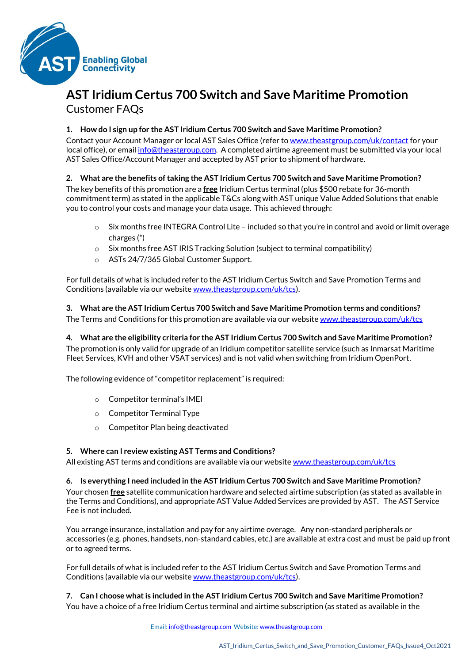

# **AST Iridium Certus 700 Switch and Save Maritime Promotion** Customer FAQs

## **1. How do I sign up for the AST Iridium Certus 700 Switch and Save Maritime Promotion?**

Contact your Account Manager or local AST Sales Office (refer t[o www.theastgroup.com/uk/contact](http://www.theastgroup.com/uk/contact/) for your local office), or emai[l info@theastgroup.com.](mailto:info@theastgroup.com) A completed airtime agreement must be submitted via your local AST Sales Office/Account Manager and accepted by AST prior to shipment of hardware.

# **2. What are the benefits of taking the AST Iridium Certus 700 Switch and Save Maritime Promotion?**

The key benefits of this promotion are a **free** Iridium Certus terminal (plus \$500 rebate for 36-month commitment term) as stated in the applicable T&Cs along with AST unique Value Added Solutions that enable you to control your costs and manage your data usage. This achieved through:

- Six months free INTEGRA Control Lite included so that you're in control and avoid or limit overage charges (\*)
- $\circ$  Six months free AST IRIS Tracking Solution (subject to terminal compatibility)
- o ASTs 24/7/365 Global Customer Support.

For full details of what is included refer to the AST Iridium Certus Switch and Save Promotion Terms and Conditions (available via our websit[e www.theastgroup.com/uk/tcs\)](http://www.theastgroup.com/uk/tcs).

**3. What are the AST Iridium Certus 700 Switch and Save Maritime Promotion terms and conditions?** The Terms and Conditions for this promotion are available via our websit[e www.theastgroup.com/uk/tcs](http://www.theastgroup.com/uk/tcs/)

**4. What are the eligibility criteria for the AST Iridium Certus 700 Switch and Save Maritime Promotion?** The promotion is only valid for upgrade of an Iridium competitor satellite service (such as Inmarsat Maritime Fleet Services, KVH and other VSAT services) and is not valid when switching from Iridium OpenPort.

The following evidence of "competitor replacement" is required:

- o Competitor terminal's IMEI
- o Competitor Terminal Type
- o Competitor Plan being deactivated

## **5. Where can I review existing AST Terms and Conditions?**

All existing AST terms and conditions are available via our website [www.theastgroup.com/uk/tcs](http://www.theastgroup.com/uk/tcs/)

## **6. Is everything I need included in the AST Iridium Certus 700 Switch and Save Maritime Promotion?**

Your chosen **free** satellite communication hardware and selected airtime subscription (as stated as available in the Terms and Conditions), and appropriate AST Value Added Services are provided by AST. The AST Service Fee is not included.

You arrange insurance, installation and pay for any airtime overage. Any non-standard peripherals or accessories (e.g. phones, handsets, non-standard cables, etc.) are available at extra cost and must be paid up front or to agreed terms.

For full details of what is included refer to the AST Iridium Certus Switch and Save Promotion Terms and Conditions (available via our websit[e www.theastgroup.com/uk/tcs\)](http://www.theastgroup.com/uk/tcs).

**7. Can I choose what is included in the AST Iridium Certus 700 Switch and Save Maritime Promotion?** You have a choice of a free Iridium Certus terminal and airtime subscription (as stated as available in the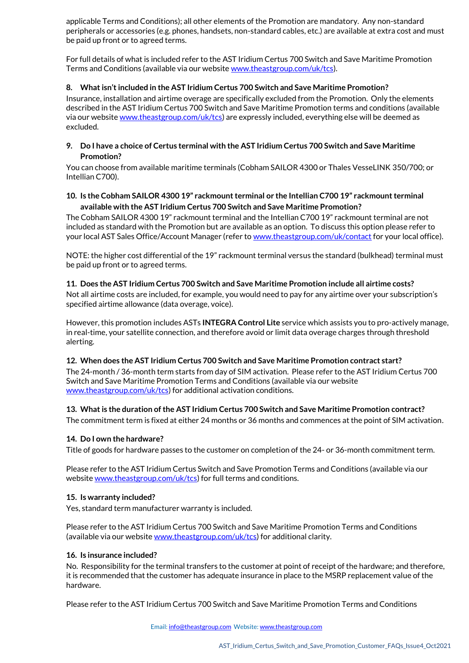applicable Terms and Conditions); all other elements of the Promotion are mandatory. Any non-standard peripherals or accessories (e.g. phones, handsets, non-standard cables, etc.) are available at extra cost and must be paid up front or to agreed terms.

For full details of what is included refer to the AST Iridium Certus 700 Switch and Save Maritime Promotion Terms and Conditions (available via our websit[e www.theastgroup.com/uk/tcs\)](http://www.theastgroup.com/uk/tcs).

## **8. What isn't included in the AST Iridium Certus 700 Switch and Save Maritime Promotion?**

Insurance, installation and airtime overage are specifically excluded from the Promotion. Only the elements described in the AST Iridium Certus 700 Switch and Save Maritime Promotion terms and conditions (available via our website [www.theastgroup.com/uk/tcs\)](http://www.theastgroup.com/uk/tcs) are expressly included, everything else will be deemed as excluded.

## **9. Do I have a choice of Certus terminal with the AST Iridium Certus 700 Switch and Save Maritime Promotion?**

You can choose from available maritime terminals (Cobham SAILOR 4300 or Thales VesseLINK 350/700; or Intellian C700).

## **10. Is the Cobham SAILOR 4300 19" rackmount terminal or the Intellian C700 19" rackmount terminal available with the AST Iridium Certus 700 Switch and Save Maritime Promotion?**

The Cobham SAILOR 4300 19" rackmount terminal and the Intellian C700 19" rackmount terminal are not included as standard with the Promotion but are available as an option. To discuss this option please refer to your local AST Sales Office/Account Manager (refer t[o www.theastgroup.com/uk/contact](http://www.theastgroup.com/uk/contact) for your local office).

NOTE: the higher cost differential of the 19" rackmount terminal versus the standard (bulkhead) terminal must be paid up front or to agreed terms.

## **11. Does the AST Iridium Certus 700 Switch and Save Maritime Promotion include all airtime costs?**

Not all airtime costs are included, for example, you would need to pay for any airtime over your subscription's specified airtime allowance (data overage, voice).

However, this promotion includes ASTs **INTEGRA Control Lite** service which assists you to pro-actively manage, in real-time, your satellite connection, and therefore avoid or limit data overage charges through threshold alerting.

## **12. When does the AST Iridium Certus 700 Switch and Save Maritime Promotion contract start?**

The 24-month / 36-month term starts from day of SIM activation. Please refer to the AST Iridium Certus 700 Switch and Save Maritime Promotion Terms and Conditions (available via our website [www.theastgroup.com/uk/tcs\)](http://www.theastgroup.com/uk/tcs) for additional activation conditions.

# **13. What is the duration of the AST Iridium Certus 700 Switch and Save Maritime Promotion contract?**

The commitment term is fixed at either 24 months or 36 months and commences at the point of SIM activation.

# **14. Do I own the hardware?**

Title of goods for hardware passes to the customer on completion of the 24- or 36-month commitment term.

Please refer to the AST Iridium Certus Switch and Save Promotion Terms and Conditions (available via our websit[e www.theastgroup.com/uk/tcs\)](http://www.theastgroup.com/uk/tcs) for full terms and conditions.

## **15. Is warranty included?**

Yes, standard term manufacturer warranty is included.

Please refer to the AST Iridium Certus 700 Switch and Save Maritime Promotion Terms and Conditions (available via our website [www.theastgroup.com/uk/tcs\)](http://www.theastgroup.com/uk/tcs) for additional clarity.

## **16. Is insurance included?**

No. Responsibility for the terminal transfers to the customer at point of receipt of the hardware; and therefore, it is recommended that the customer has adequate insurance in place to the MSRP replacement value of the hardware.

Please refer to the AST Iridium Certus 700 Switch and Save Maritime Promotion Terms and Conditions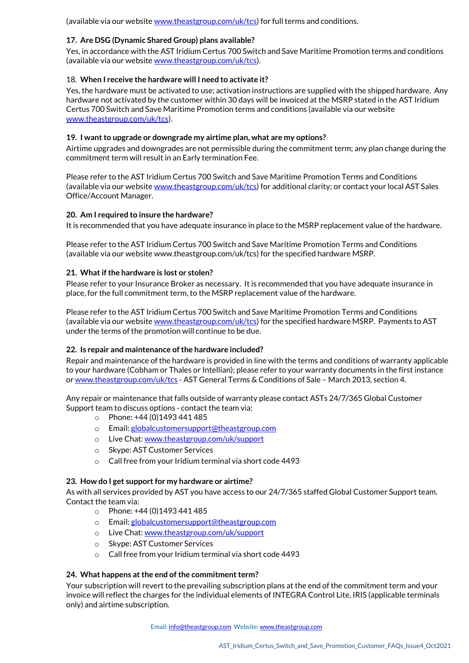(available via our website [www.theastgroup.com/uk/tcs\)](http://www.theastgroup.com/uk/tcs) for full terms and conditions.

## **17. Are DSG (Dynamic Shared Group) plans available?**

Yes, in accordance with the AST Iridium Certus 700 Switch and Save Maritime Promotion terms and conditions (available via our website [www.theastgroup.com/uk/tcs\)](http://www.theastgroup.com/uk/tcs).

## 18. **When I receive the hardware will I need to activate it?**

Yes, the hardware must be activated to use; activation instructions are supplied with the shipped hardware. Any hardware not activated by the customer within 30 days will be invoiced at the MSRP stated in the AST Iridium Certus 700 Switch and Save Maritime Promotion terms and conditions (available via our website [www.theastgroup.com/uk/tcs\)](http://www.theastgroup.com/uk/tcs).

## **19. I want to upgrade or downgrade my airtime plan, what are my options?**

Airtime upgrades and downgrades are not permissible during the commitment term; any plan change during the commitment term will result in an Early termination Fee.

Please refer to the AST Iridium Certus 700 Switch and Save Maritime Promotion Terms and Conditions (available via our website [www.theastgroup.com/uk/tcs\)](http://www.theastgroup.com/uk/tcs) for additional clarity; or contact your local AST Sales Office/Account Manager.

## **20. Am I required to insure the hardware?**

It is recommended that you have adequate insurance in place to the MSRP replacement value of the hardware.

Please refer to the AST Iridium Certus 700 Switch and Save Maritime Promotion Terms and Conditions (available via our website www.theastgroup.com/uk/tcs) for the specified hardware MSRP.

## **21. What if the hardware is lost or stolen?**

Please refer to your Insurance Broker as necessary. It is recommended that you have adequate insurance in place, for the full commitment term, to the MSRP replacement value of the hardware.

Please refer to the AST Iridium Certus 700 Switch and Save Maritime Promotion Terms and Conditions (available via our website [www.theastgroup.com/uk/tcs\)](http://www.theastgroup.com/uk/tcs) for the specified hardware MSRP. Payments to AST under the terms of the promotion will continue to be due.

## **22. Is repair and maintenance of the hardware included?**

Repair and maintenance of the hardware is provided in line with the terms and conditions of warranty applicable to your hardware (Cobham or Thales or Intellian); please refer to your warranty documents in the first instance o[r www.theastgroup.com/uk/tcs](http://www.theastgroup.com/uk/tcs) - AST General Terms & Conditions of Sale – March 2013, section 4.

Any repair or maintenance that falls outside of warranty please contact ASTs 24/7/365 Global Customer Support team to discuss options - contact the team via:

- o Phone: +44 (0)1493 441 485
- o Email[: globalcustomersupport@theastgroup.com](mailto:globalcustomersupport@theastgroup.com)
- o Live Chat[: www.theastgroup.com/uk/support](http://www.theastgroup.com/uk/support/)
- o Skype: AST Customer Services
- o Call free from your Iridium terminal via short code 4493

## **23. How do I get support for my hardware or airtime?**

As with all services provided by AST you have access to our 24/7/365 staffed Global Customer Support team. Contact the team via:

- $\circ$  Phone: +44 (0) 1493 441 485
- o Email[: globalcustomersupport@theastgroup.com](mailto:globalcustomersupport@theastgroup.com)
- o Live Chat[: www.theastgroup.com/uk/support](http://www.theastgroup.com/uk/support/)
- o Skype: AST Customer Services
- o Call free from your Iridium terminal via short code 4493

## **24. What happens at the end of the commitment term?**

Your subscription will revert to the prevailing subscription plans at the end of the commitment term and your invoice will reflect the charges for the individual elements of INTEGRA Control Lite, IRIS (applicable terminals only) and airtime subscription.